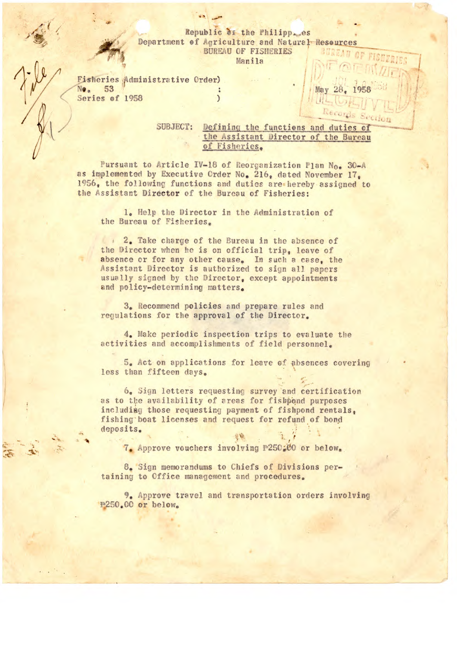## Republic of the Philipp<sub>ses</sub>es Department of Agriculture and Natural Resources **BUREAU OF FISHERIES**

Manila

**Fisheries Administrative Order)** No. 53 Series of 1958  $\mathcal{E}$ 

> SUBJECT: Defining the functions and duties of the Assistant Director of the Bureau of Fisheries.

May

Pursuant to Article IV-18 of Reorganization Plan No. 30-A as implemented by Executive Order No. 216, dated November 17. 1956, the following functions and duties are hereby assigned to the Assistant Director of the Bureau of Fisheries:

1. Help the Director in the Administration of the Bureau of Fisheries.

1 2. Take charge of the Bureau in the absence of the Director when he is on official trip, leave of absence or for any other cause. In such a case, the Assistant Director is authorized to sign all papers usually signed by the Director, except appointments and policy-determining matters.

3. Recommend policies and prepare rules and regulations for the approval of the Director.

4. Make periodic inspection trips to evaluate the activities and accomplishments of field personnel.

5. Act on applications for leave of absences covering less than fifteen days.

6. Sign letters requesting survey and certification as to the availability of areas for fishpond purposes including those requesting payment of fishpond rentals, fishing boat licenses and request for refund of bond deposits.

7. Approve vouchers involving P250.00 or below.

8. Sign memorandums to Chiefs of Divisions pertaining to Office management and procedures.

9. Approve travel and transportation orders involving P250.00 or below.